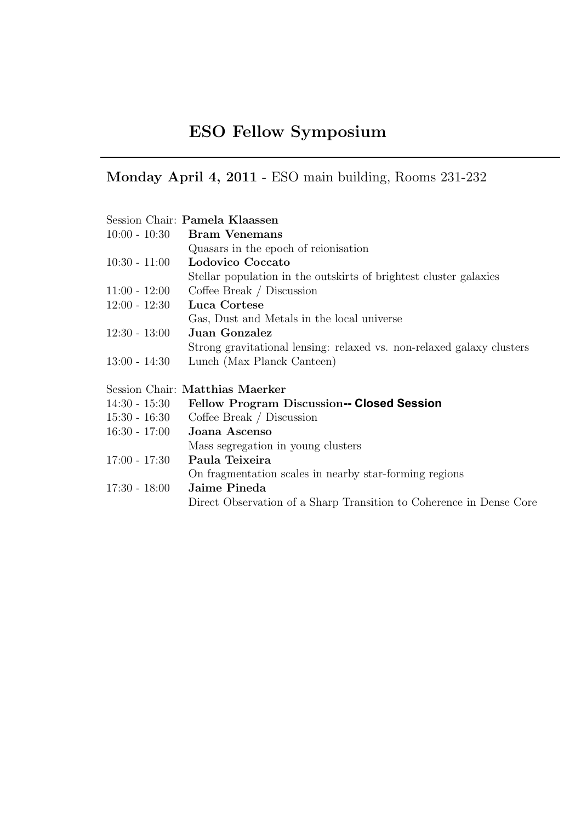## ESO Fellow Symposium

09:30 - 10:00 Welcome - Coffee & Croissants

## Monday April 4, 2011 - ESO main building, Rooms 231-232

|                 | Session Chair: Pamela Klaassen                                        |
|-----------------|-----------------------------------------------------------------------|
|                 | $10:00 - 10:30$ Bram Venemans                                         |
|                 | Quasars in the epoch of reionisation                                  |
| $10:30 - 11:00$ | Lodovico Coccato                                                      |
|                 | Stellar population in the outskirts of brightest cluster galaxies     |
| $11:00 - 12:00$ | Coffee Break / Discussion                                             |
| $12:00 - 12:30$ | Luca Cortese                                                          |
|                 | Gas, Dust and Metals in the local universe                            |
| $12:30 - 13:00$ | <b>Juan Gonzalez</b>                                                  |
|                 | Strong gravitational lensing: relaxed vs. non-relaxed galaxy clusters |
| $13:00 - 14:30$ | Lunch (Max Planck Canteen)                                            |
|                 |                                                                       |
|                 | Session Chair: Matthias Maerker                                       |
| $14:30 - 15:30$ | <b>Fellow Program Discussion-- Closed Session</b>                     |
| $15:30 - 16:30$ | Coffee Break $\int$ Discussion                                        |
| $16:30 - 17:00$ | Joana Ascenso                                                         |
|                 | Mass segregation in young clusters                                    |
| $17:00 - 17:30$ | Paula Teixeira                                                        |
|                 | On fragmentation scales in nearby star-forming regions                |
| $17:30 - 18:00$ | Jaime Pineda                                                          |
|                 | Direct Observation of a Sharp Transition to Coherence in Dense Core   |
|                 |                                                                       |